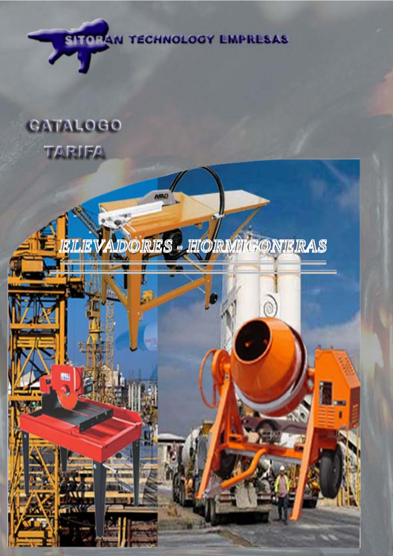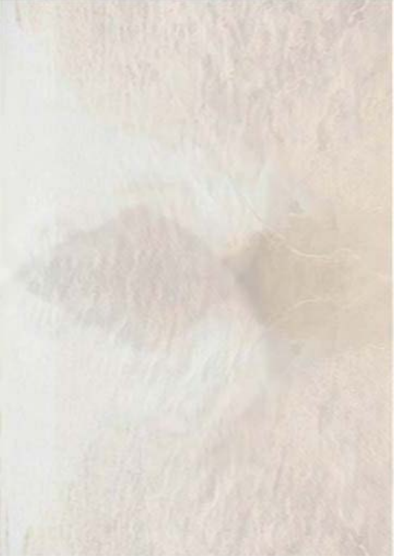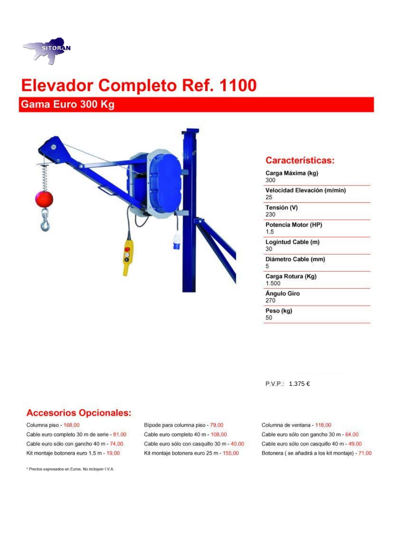

# **Elevador Completo Ref. 1100**

# Gama Euro 300 Kg



# Características:

Carga Máxima (kg) 300 Velocidad Elevación (m/min)  $25<sub>2</sub>$ Tensión (V) 230 Potencia Motor (HP)  $1,5$ Logintud Cable (m) 30 Diámetro Cable (mm) 5 Carga Rotura (Kg) 1.500 Ángulo Giro 270 Peso (kg) 50

P.V.P.: 1.375 €

# **Accesorios Opcionales:**

## Columna piso - 168,00

Cable euro completo 30 m de serie - 81,00 Cable euro sólo con gancho 40 m - 74,00 Kit montaje botonera euro 1,5 m - 19,00

\* Precios expresados en Euros. No incluyen I.V.A.

Bipode para columna piso - 79,00 Cable euro completo 40 m - 108,00 Cable euro sólo con casquillo 30 m - 40.00 Kit montaje botonera euro 25 m - 155,00

Columna de ventana - 118,00 Cable euro sólo con gancho 30 m - 64,00 Cable euro sólo con casquillo 40 m - 49.00 Botonera (se añadirá a los kit montaje) - 71,00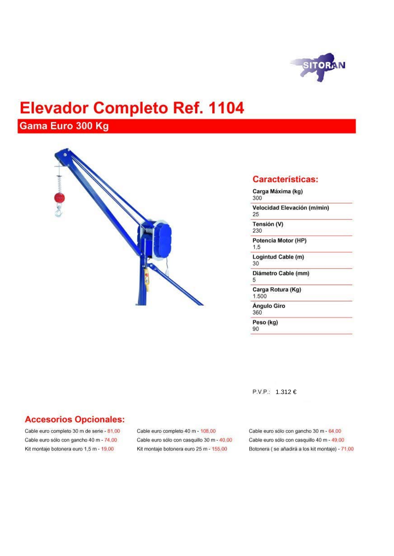

# **Elevador Completo Ref. 1104**

# Gama Euro 300 Kg



## Características:

Carga Máxima (kg) 300 Velocidad Elevación (m/min) 25 Tensión (V) 230 Potencia Motor (HP)  $1,5$ Logintud Cable (m) 30 Diámetro Cable (mm) 5 Carga Rotura (Kg) 1.500 Ángulo Giro 360 Peso (kg) 90

P.V.P.: 1.312 €

# **Accesorios Opcionales:**

Cable euro completo 30 m de serie - 81,00 Cable euro sólo con gancho 40 m - 74,00 Kit montaje botonera euro 1,5 m - 19,00

Cable euro completo 40 m - 108,00 Cable euro sólo con casquillo 30 m - 40.00 Kit montaje botonera euro 25 m - 155,00

Cable euro sólo con gancho 30 m - 64,00 Cable euro sólo con casquillo 40 m - 49.00 Botonera (se añadirá a los kit montaje) - 71,00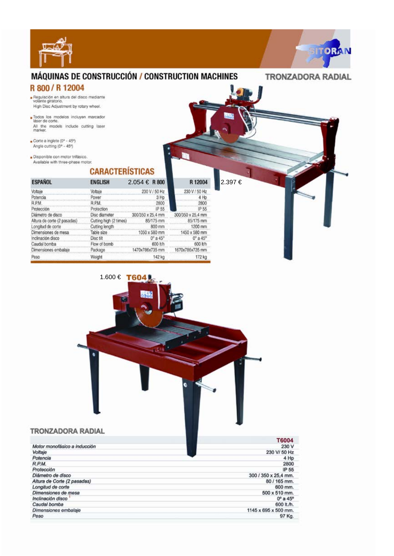



# **MÁQUINAS DE CONSTRUCCIÓN / CONSTRUCTION MACHINES**

**TRONZADORA RADIAL** 

2.397€

## R 800 / R 12004

- Regulación en altura del disco mediante<br>volante giratorio,<br>High Disc Adjustment by rotary wheel,
- · Todos los modelos incluyen marcador<br>láser de corte. All the models include cutting laser<br>marker.
- $\bullet$  Corte a inglete (0° 45°) Angle cutting (0<sup>6</sup> - 45<sup>o</sup>)
- · Disponible con motor trifásico. Available with three-phase motor.

## **CARACTERÍSTICAS**

| <b>ESPAÑOL</b>              | <b>ENGLISH</b>         | $2.054 \in R800$        | R 12004                |
|-----------------------------|------------------------|-------------------------|------------------------|
| Voltaje                     | Voltaje                | 230 V / 50 Hz           | 230 V / 50 Hz          |
| Potencia                    | Power                  | 3 Ho                    | 4 Hp                   |
| R.P.M.                      | R.P.M.                 | 2800                    | 2800                   |
| Protección                  | Protection             | IP 55                   | IP 55                  |
| Diámetro de disco           | Disc diameter          | 300/350 x 25.4 mm       | 300/350 x 25.4 mm      |
| Altura de corte (2 pasadas) | Cutting high (2 times) | 85/175 mm               | 85/175 mm              |
| Longitud de corte           | Cutting length         | 800 mm                  | 1200 mm                |
| Dimensiones de mesa         | Table size             | 1050 x 580 mm           | 1450 x 580 mm          |
| Inclinación disco           | Disc tilt              | $0^\circ$ a 45 $^\circ$ | $0^\circ$ a $45^\circ$ |
| Caudal bomba                | Flow of bomb           | 600 lt/h                | 600 lt/h               |
| Dimensiones embalaje        | Package                | 1470x786x735 mm         | 1670x786x735 mm        |
| Peso                        | Weight                 | 142 kg                  | 172 kg                 |





## **TRONZADORA RADIAL**

|                              | T6004                   |
|------------------------------|-------------------------|
| Motor monofásico a inducción | 230 V                   |
| Voltaje                      | 230 V/ 50 Hz            |
| Potencia                     | 4 Hp                    |
| R.P.M.                       | 2800                    |
| Protección                   | IP 55                   |
| Diámetro de disco            | 300 / 350 x 25,4 mm.    |
| Altura de Corte (2 pasadas)  | 80 / 165 mm.            |
| Longitud de corte            | 600 mm.                 |
| Dimensiones de mesa          | 500 x 510 mm.           |
| Inclinación disco            | $0^\circ$ a 45 $^\circ$ |
| Caudal bomba                 | 600 lt./h.              |
| Dimensiones embalaje         | 1145 x 695 x 500 mm.    |
| Peso                         | 97 Kg.                  |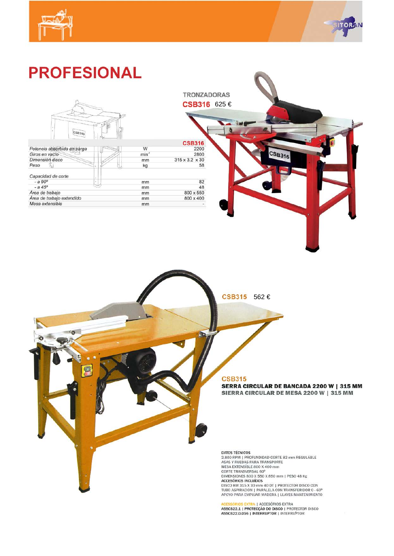

 $\bullet$ 

Ø



#### **PROFESIONAL** TRONZADORAS CSB316 625 € CSB316 **CSB316** Potencia absorbida en carga W 2200  $CSB316$ Giros en vacio 2800 min Dimensión disco  $315 \times 3.2 \times 30$  $mm$ Peso 58 kg IJ Capacidad de corte  $- a 90°$  $mm$ 82  $- a 45^{\circ}$  $mm$ 48 Área de trabajo 800 x 550  $mm$ Área de trabajo extendido  $mm$ 800 x 400 Mesa extensible  $mm$



### **CSB315**

**SERRA CIRCULAR DE BANCADA 2200 W | 315 MM** SIERRA CIRCULAR DE MESA 2200 W | 315 MM

#### **DATOS TÉCNICOS**

2.800 RPM | PROFUNDIDAD CORTE 82 mm REGULÁBLE<br>ASAS Y RUEDAS PARA TRANSPORTE MESA EXTENSIBLE 800 X 400 mm<br>CORTE TRANSVERSAL 60°

CORTE TRANSVERSAL 607<br>DIMENSIONES 800 X 850 X 850 mm | PESO 48 Kg<br>ACCESÓRIOS INCLUÍDOS<br>DISCO HM 315 X 30 mm 40 DT | PROTECTOR DISCO CON<br>TUBO ASPIRACIÓN | PARALELA CON TRANSFERIDOR 0 - 60°<br>APOYO PARA EMPUJAR MADERA | LLAVES

ACESSÓRIOS EXTRA | ACCESÓRIOS EXTRA<br>ASSCB22.1 | PROTECÇÃO DO DISCO | PROTECTOR DISCO<br>ASSCB22.0.056 | INTERRUPTOR | INTERRUPTOR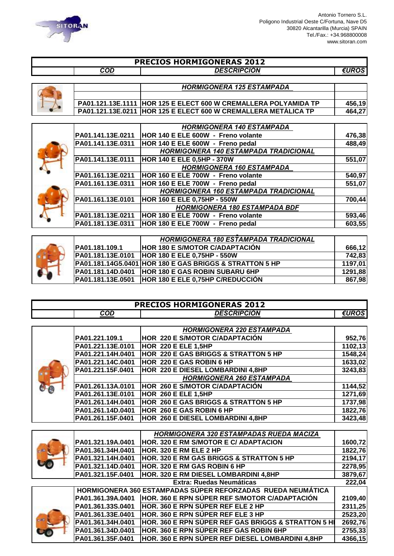

| <b>PRECIOS HORMIGONERAS 2012</b> |     |                    |  |
|----------------------------------|-----|--------------------|--|
|                                  | COD | <b>DESCRIPCION</b> |  |
|                                  |     |                    |  |

|  | <b>HORMIGONERA 125 ESTAMPADA</b>                                 |        |
|--|------------------------------------------------------------------|--------|
|  |                                                                  |        |
|  | PA01.121.13E.1111  HOR 125 E ELECT 600 W CREMALLERA POLYAMIDA TP | 456.19 |
|  | PA01.121.13E.0211 HOR 125 E ELECT 600 W CREMALLERA METÁLICA TP   | 464.27 |

|  |                   | <b>HORMIGONERA 140 ESTAMPADA</b>             |        |
|--|-------------------|----------------------------------------------|--------|
|  | PA01.141.13E.0211 | HOR 140 E ELE 600W - Freno volante           | 476,38 |
|  | PA01.141.13E.0311 | HOR 140 E ELE 600W - Freno pedal             | 488,49 |
|  |                   | <b>HORMIGONERA 140 ESTAMPADA TRADICIONAL</b> |        |
|  | PA01.141.13E.0111 | <b>HOR 140 E ELE 0,5HP - 370W</b>            | 551,07 |
|  |                   | <b>HORMIGONERA 160 ESTAMPADA</b>             |        |
|  | PA01.161.13E.0211 | HOR 160 E ELE 700W - Freno volante           | 540,97 |
|  | PA01.161.13E.0311 | HOR 160 E ELE 700W - Freno pedal             | 551,07 |
|  |                   | HORMIGONERA 160 ESTAMPADA TRADICIONAL        |        |
|  | PA01.161.13E.0101 | <b>HOR 160 E ELE 0,75HP - 550W</b>           | 700,44 |
|  |                   | <b>HORMIGONERA 180 ESTAMPADA BDF</b>         |        |
|  | PA01.181.13E.0211 | HOR 180 E ELE 700W - Freno volante           | 593,46 |
|  | PA01.181.13E.0311 | HOR 180 E ELE 700W - Freno pedal             | 603,55 |

|  |                    | <b>HORMIGONERA 180 ESTAMPADA TRADICIONAL</b>                       |         |
|--|--------------------|--------------------------------------------------------------------|---------|
|  | IPA01.181.109.1    | <b>HOR 180 E S/MOTOR C/ADAPTACIÓN</b>                              | 666.12  |
|  | IPA01.181.13E.0101 | <b>HOR 180 E ELE 0.75HP - 550W</b>                                 | 742,83  |
|  |                    | <b>PA01.181.14G5.0401 HOR 180 E GAS BRIGGS &amp; STRATTON 5 HP</b> | 1197,01 |
|  |                    | PA01.181.14D.0401 HOR 180 E GAS ROBIN SUBARU 6HP                   | 1291,88 |
|  | PA01.181.13E.0501  | HOR 180 E ELE 0.75HP C/REDUCCIÓN                                   | 867,98  |

| <b>PRECIOS HORMIGONERAS 2012</b> |                   |                                                             |              |
|----------------------------------|-------------------|-------------------------------------------------------------|--------------|
|                                  | $\overline{COD}$  | <b>DESCRIPCIÓN</b>                                          | <b>€UROS</b> |
|                                  |                   |                                                             |              |
|                                  |                   | <b>HORMIGONERA 220 ESTAMPADA</b>                            |              |
|                                  | PA01.221.109.1    | <b>HOR 220 E S/MOTOR C/ADAPTACIÓN</b>                       | 952,76       |
|                                  | PA01.221.13E.0101 | <b>HOR 220 E ELE 1,5HP</b>                                  | 1102,13      |
|                                  | PA01.221.14H.0401 | HOR 220 E GAS BRIGGS & STRATTON 5 HP                        | 1548,24      |
|                                  | PA01.221.14C.0401 | HOR 220 E GAS ROBIN 6 HP                                    | 1633,02      |
|                                  | PA01.221.15F.0401 | HOR 220 E DIESEL LOMBARDINI 4,8HP                           | 3243,83      |
|                                  |                   | <b>HORMIGONERA 260 ESTAMPADA</b>                            |              |
|                                  | PA01.261.13A.0101 | HOR 260 E S/MOTOR C/ADAPTACIÓN                              | 1144,52      |
|                                  | PA01.261.13E.0101 | <b>HOR 260 E ELE 1,5HP</b>                                  | 1271,69      |
|                                  | PA01.261.14H.0401 | HOR 260 E GAS BRIGGS & STRATTON 5 HP                        | 1737,98      |
|                                  | PA01.261.14D.0401 | HOR 260 E GAS ROBIN 6 HP                                    | 1822,76      |
|                                  | PA01.261.15F.0401 | HOR 260 E DIESEL LOMBARDINI 4,8HP                           | 3423,48      |
|                                  |                   |                                                             |              |
|                                  |                   | <b>HORMIGONERA 320 ESTAMPADAS RUEDA MACIZA</b>              |              |
|                                  | PA01.321.19A.0401 | <b>HOR. 320 E RM S/MOTOR E C/ ADAPTACION</b>                | 1600,72      |
|                                  | PA01.361.34H.0401 | <b>HOR. 320 E RM ELE 2 HP</b>                               | 1822,76      |
|                                  | PA01.321.14H.0401 | HOR. 320 E RM GAS BRIGGS & STRATTON 5 HP                    | 2194,17      |
|                                  | PA01.321.14D.0401 | HOR. 320 E RM GAS ROBIN 6 HP                                | 2278,95      |
|                                  | PA01.321.15F.0401 | HOR. 320 E RM DIESEL LOMBARDINI 4,8HP                       | 3879,67      |
|                                  |                   | <b>Extra: Ruedas Neumáticas</b>                             | 222,04       |
|                                  |                   | HORMIGONERA 360 ESTAMPADAS SÚPER REFORZADAS RUEDA NEUMÁTICA |              |
|                                  | PA01.361.39A.0401 | HOR. 360 E RPN SÚPER REF S/MOTOR C/ADAPTACIÓN               | 2109,40      |
|                                  | PA01.361.33S.0401 | HOR. 360 E RPN SÚPER REF ELE 2 HP                           | 2311,25      |
|                                  | PA01.361.33E.0401 | HOR. 360 E RPN SÚPER REF ELE 3 HP                           | 2523,20      |
|                                  | PA01.361.34H.0401 | HOR. 360 E RPN SÚPER REF GAS BRIGGS & STRATTON 5 HI         | 2692,76      |
|                                  | PA01.361.34D.0401 | <b>HOR. 360 E RPN SÚPER REF GAS ROBIN 6HP</b>               | 2755,33      |
|                                  | PA01.361.35F.0401 | HOR. 360 E RPN SÚPER REF DIESEL LOMBARDINI 4,8HP            | 4366,15      |